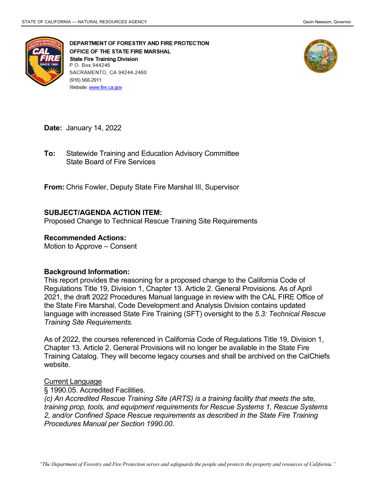

DEPARTMENT OF FORESTRY AND FIRE PROTECTION OFFICE OF THE STATE FIRE MARSHAL **State Fire Training Division** P.O. Box 944246 SACRAMENTO, CA 94244-2460 (916) 568-2911 Website: www.fire.ca.gov



**Date:** January 14, 2022

 State Board of Fire Services **To:** Statewide Training and Education Advisory Committee

**From:** Chris Fowler, Deputy State Fire Marshal III, Supervisor

## **SUBJECT/AGENDA ACTION ITEM:**

Proposed Change to Technical Rescue Training Site Requirements

#### **Recommended Actions:**

Motion to Approve – Consent

### **Background Information:**

 This report provides the reasoning for a proposed change to the California Code of Regulations Title 19, Division 1, Chapter 13. Article 2. General Provisions. As of April 2021, the draft 2022 Procedures Manual language in review with the CAL FIRE Office of the State Fire Marshal, Code Development and Analysis Division contains updated language with increased State Fire Training (SFT) oversight to the *5.3: Technical Rescue Training Site Requirements.* 

As of 2022, the courses referenced in California Code of Regulations Title 19, Division 1, Chapter 13. Article 2. General Provisions will no longer be available in the State Fire Training Catalog. They will become legacy courses and shall be archived on the CalChiefs website.

### Current Language

§ 1990.05. Accredited Facilities.

 *(c) An Accredited Rescue Training Site (ARTS) is a training facility that meets the site, training prop, tools, and equipment requirements for Rescue Systems 1, Rescue Systems Procedures Manual per Section 1990.00. 2, and/or Confined Space Rescue requirements as described in the State Fire Training*